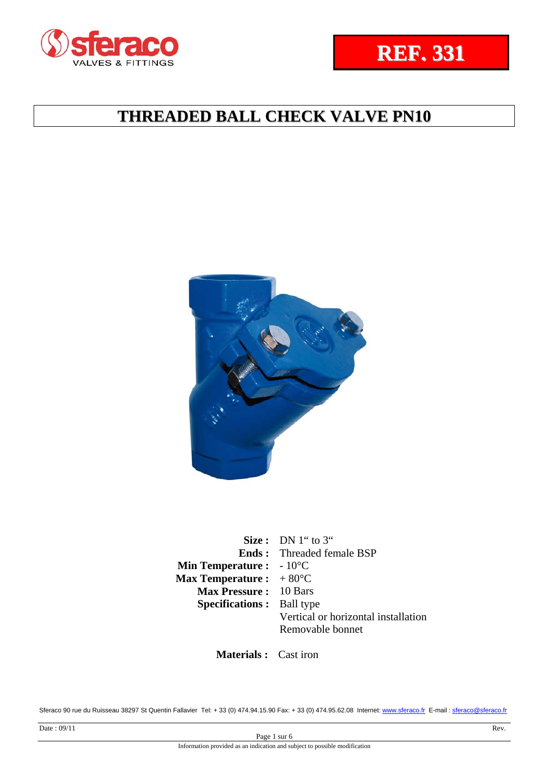

**Size :** DN 1" to 3" **Ends :**  Threaded female BSP **Min Temperature :** - 10<sup>°</sup>C **Max Temperature :**   $+80^{\circ}$ C **Max Pressure :** 10 Bars **Specifications :** Ball type Vertical or horizontal installation Removable bonnet

**Materials :** Cast iron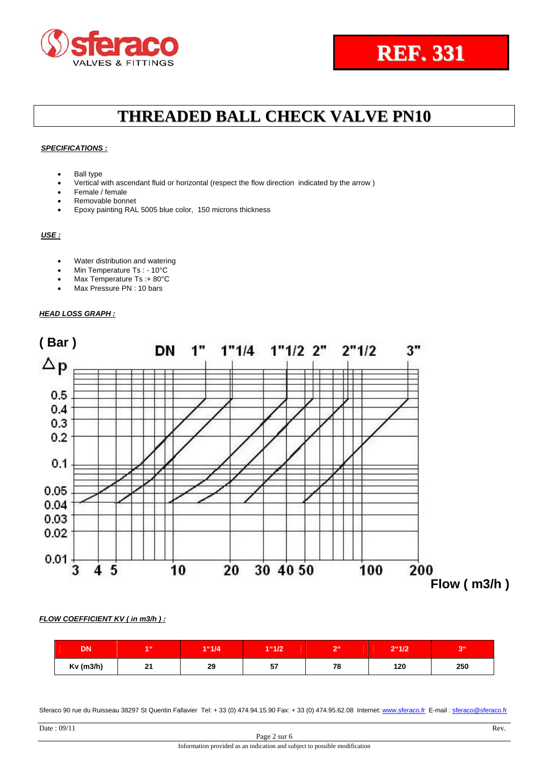#### *SPECIFICATIONS :*

- Ball type
- Vertical with ascendant fluid or horizontal (respect the flow direction indicated by the arrow )
- Female / female
- Removable bonnet
- Epoxy painting RAL 5005 blue color, 150 microns thickness

*USE :*

- Water distribution and watering
- Min Temperature Ts: 10°C
- Max Temperature Ts :+ 80°C
- Max Pressure PN : 10 bars

#### *HEAD LOSS GRAPH :*



*FLOW COEFFICIENT KV ( in m3/h ) :* 

| <b>DN</b>   | 4.66      | 1"1/4 | 1"1/2    | $-66$ | $2^{\circ}1/2$ | 7.66 |
|-------------|-----------|-------|----------|-------|----------------|------|
| $Kv$ (m3/h) | O4<br>. . | 29    | --<br>v. | 78    | 120            | 250  |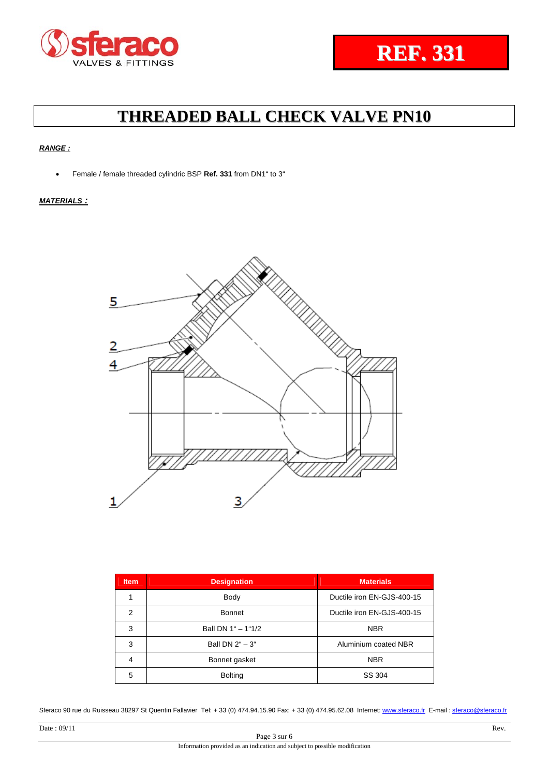### *RANGE :*

Female / female threaded cylindric BSP **Ref. 331** from DN1" to 3"

### *MATERIALS :*



| <b>Item</b>    | <b>Designation</b> | <b>Materials</b>           |  |  |
|----------------|--------------------|----------------------------|--|--|
|                | Body               | Ductile iron EN-GJS-400-15 |  |  |
| $\overline{2}$ | <b>Bonnet</b>      | Ductile iron EN-GJS-400-15 |  |  |
| 3              | Ball DN 1" - 1"1/2 | <b>NBR</b>                 |  |  |
| 3              | Ball DN 2" - 3"    | Aluminium coated NBR       |  |  |
| 4              | Bonnet gasket      | <b>NBR</b>                 |  |  |
| 5              | <b>Bolting</b>     | SS 304                     |  |  |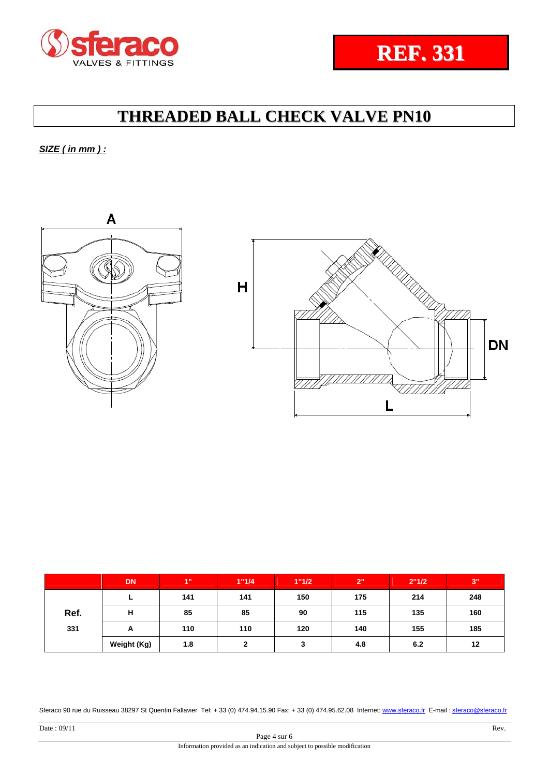## *SIZE ( in mm ) :*





|      | <b>DN</b>   | 4"  | 1"1/4 | 1"1/2  | 2"  | 2"1/2 | 3"  |
|------|-------------|-----|-------|--------|-----|-------|-----|
|      | -           | 141 | 141   | 150    | 175 | 214   | 248 |
| Ref. | н           | 85  | 85    | 90     | 115 | 135   | 160 |
| 331  | A           | 110 | 110   | 120    | 140 | 155   | 185 |
|      | Weight (Kg) | 1.8 | າ     | າ<br>J | 4.8 | 6.2   | 12  |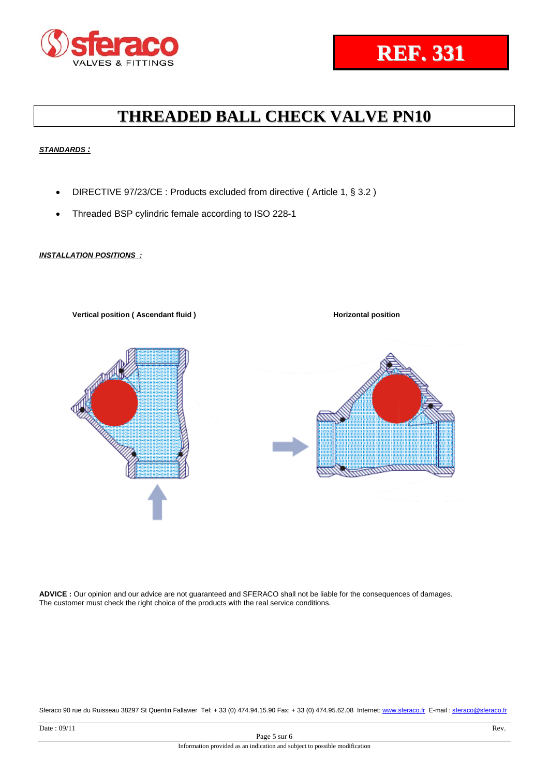### *STANDARDS :*

- DIRECTIVE 97/23/CE : Products excluded from directive (Article 1, § 3.2)
- Threaded BSP cylindric female according to ISO 228-1

### *INSTALLATION POSITIONS :*



**ADVICE :** Our opinion and our advice are not guaranteed and SFERACO shall not be liable for the consequences of damages. The customer must check the right choice of the products with the real service conditions.